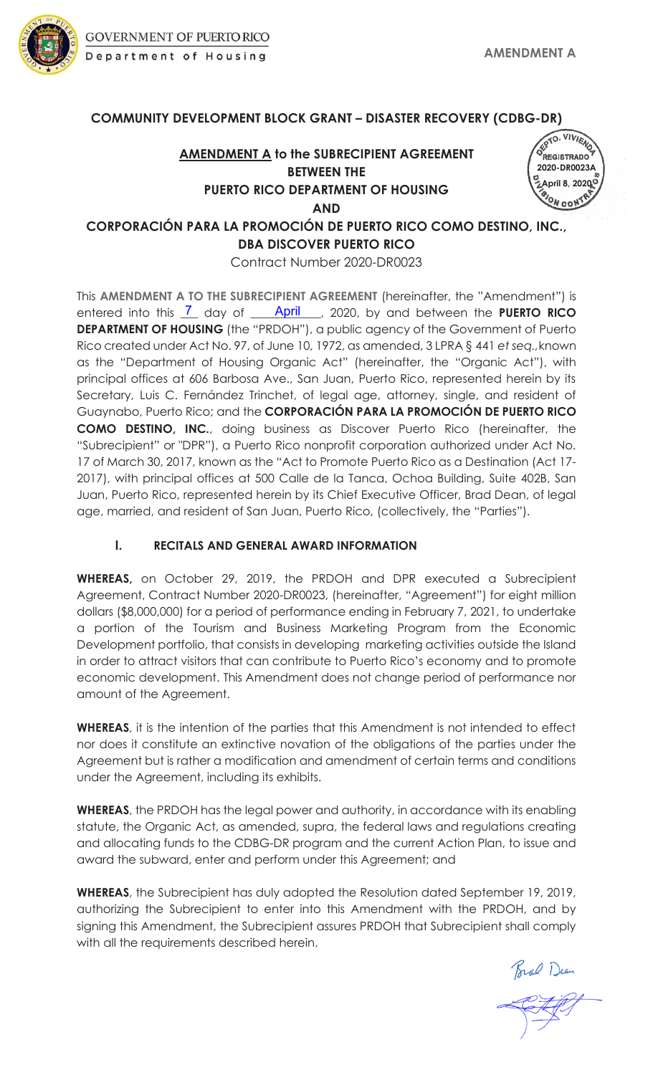

#### **COMMUNITY DEVELOPMENT BLOCK GRANT – DISASTER RECOVERY (CDBG-DR)**

### **AMENDMENT A to the SUBRECIPIENT AGREEMENT BETWEEN THE PUERTO RICO DEPARTMENT OF HOUSING AND**



**CORPORACIÓN PARA LA PROMOCIÓN DE PUERTO RICO COMO DESTINO, INC., DBA DISCOVER PUERTO RICO**

Contract Number 2020-DR0023

This **AMENDMENT A TO THE SUBRECIPIENT AGREEMENT** (hereinafter, the "Amendment") is entered into this  $\overline{1}$  day of **April**, 2020, by and between the PUERTO RICO **DEPARTMENT OF HOUSING** (the "PRDOH"), a public agency of the Government of Puerto Rico created under Act No. 97, of June 10, 1972, as amended, 3 LPRA § 441 *et seq.,*known as the "Department of Housing Organic Act" (hereinafter, the "Organic Act"), with principal offices at 606 Barbosa Ave., San Juan, Puerto Rico, represented herein by its Secretary, Luis C. Fernández Trinchet, of legal age, attorney, single, and resident of Guaynabo, Puerto Rico; and the **CORPORACIÓN PARA LA PROMOCIÓN DE PUERTO RICO COMO DESTINO, INC.**, doing business as Discover Puerto Rico (hereinafter, the "Subrecipient" or "DPR"), a Puerto Rico nonprofit corporation authorized under Act No. 17 of March 30, 2017, known as the "Act to Promote Puerto Rico as a Destination (Act 17- 2017), with principal offices at 500 Calle de la Tanca, Ochoa Building, Suite 402B, San Juan, Puerto Rico, represented herein by its Chief Executive Officer, Brad Dean, of legal age, married, and resident of San Juan, Puerto Rico, (collectively, the "Parties").

#### **I. RECITALS AND GENERAL AWARD INFORMATION**

**WHEREAS,** on October 29, 2019, the PRDOH and DPR executed a Subrecipient Agreement, Contract Number 2020-DR0023, (hereinafter, "Agreement") for eight million dollars (\$8,000,000) for a period of performance ending in February 7, 2021, to undertake a portion of the Tourism and Business Marketing Program from the Economic Development portfolio, that consists in developingmarketing activities outside the Island in order to attract visitors that can contribute to Puerto Rico's economy and to promote economic development. This Amendment does not change period of performance nor amount of the Agreement.

**WHEREAS**, it is the intention of the parties that this Amendment is not intended to effect nor does it constitute an extinctive novation of the obligations of the parties under the Agreement but is rather a modification and amendment of certain terms and conditions under the Agreement, including its exhibits.

**WHEREAS**, the PRDOH has the legal power and authority, in accordance with its enabling statute, the Organic Act, as amended, supra, the federal laws and regulations creating and allocating funds to the CDBG-DR program and the current Action Plan, to issue and award the subward, enter and perform under this Agreement; and

**WHEREAS**, the Subrecipient has duly adopted the Resolution dated September 19, 2019, authorizing the Subrecipient to enter into this Amendment with the PRDOH, and by signing this Amendment, the Subrecipient assures PRDOH that Subrecipient shall comply with all the requirements described herein.

Bral Dean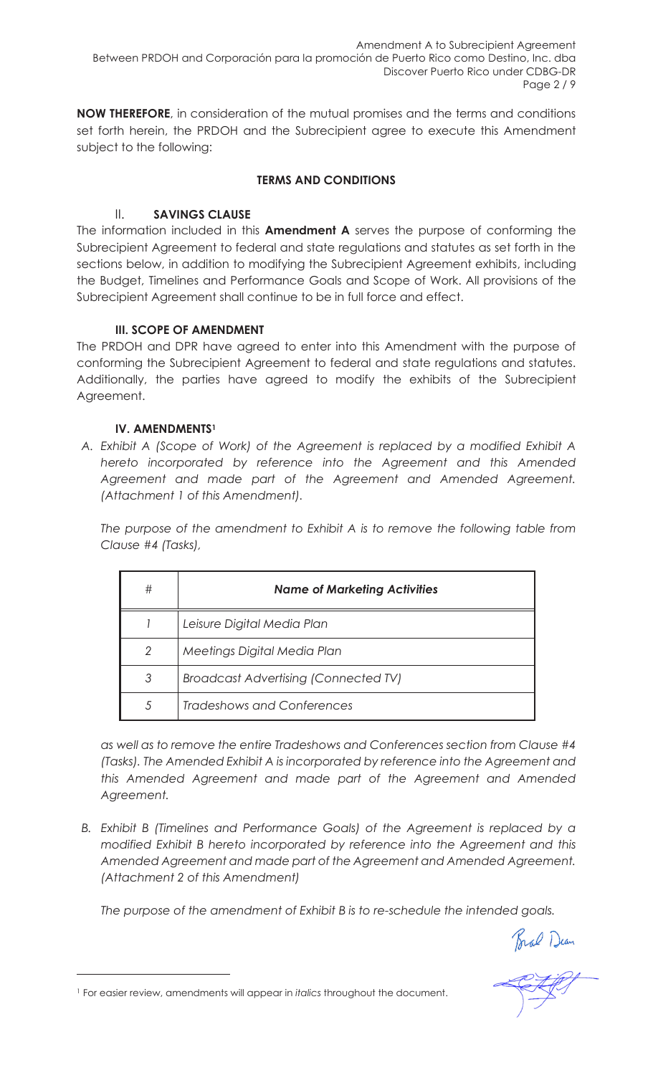Amendment A to Subrecipient Agreement Between PRDOH and Corporación para la promoción de Puerto Rico como Destino, Inc. dba Discover Puerto Rico under CDBG-DR Page 2 / 9

**NOW THEREFORE**, in consideration of the mutual promises and the terms and conditions set forth herein, the PRDOH and the Subrecipient agree to execute this Amendment subject to the following:

#### **TERMS AND CONDITIONS**

#### II. **SAVINGS CLAUSE**

The information included in this **Amendment A** serves the purpose of conforming the Subrecipient Agreement to federal and state regulations and statutes as set forth in the sections below, in addition to modifying the Subrecipient Agreement exhibits, including the Budget, Timelines and Performance Goals and Scope of Work. All provisions of the Subrecipient Agreement shall continue to be in full force and effect.

#### **III. SCOPE OF AMENDMENT**

The PRDOH and DPR have agreed to enter into this Amendment with the purpose of conforming the Subrecipient Agreement to federal and state regulations and statutes. Additionally, the parties have agreed to modify the exhibits of the Subrecipient Agreement.

#### **IV. AMENDMENTS1**

*A. Exhibit A (Scope of Work) of the Agreement is replaced by a modified Exhibit A hereto incorporated by reference into the Agreement and this Amended Agreement and made part of the Agreement and Amended Agreement. (Attachment 1 of this Amendment).*

*The purpose of the amendment to Exhibit A is to remove the following table from Clause #4 (Tasks),*

| # | <b>Name of Marketing Activities</b>         |
|---|---------------------------------------------|
|   | Leisure Digital Media Plan                  |
| 2 | Meetings Digital Media Plan                 |
| 3 | <b>Broadcast Advertising (Connected TV)</b> |
| 5 | <b>Tradeshows and Conferences</b>           |

*as well as to remove the entire Tradeshows and Conferences section from Clause #4 (Tasks). The Amended Exhibit A is incorporated by reference into the Agreement and this Amended Agreement and made part of the Agreement and Amended Agreement.*

*B. Exhibit B (Timelines and Performance Goals) of the Agreement is replaced by a modified Exhibit B hereto incorporated by reference into the Agreement and this Amended Agreement and made part of the Agreement and Amended Agreement. (Attachment 2 of this Amendment)*

*The purpose of the amendment of Exhibit B is to re-schedule the intended goals.*

Brad Dean

<sup>1</sup> For easier review, amendments will appear in *italics* throughout the document.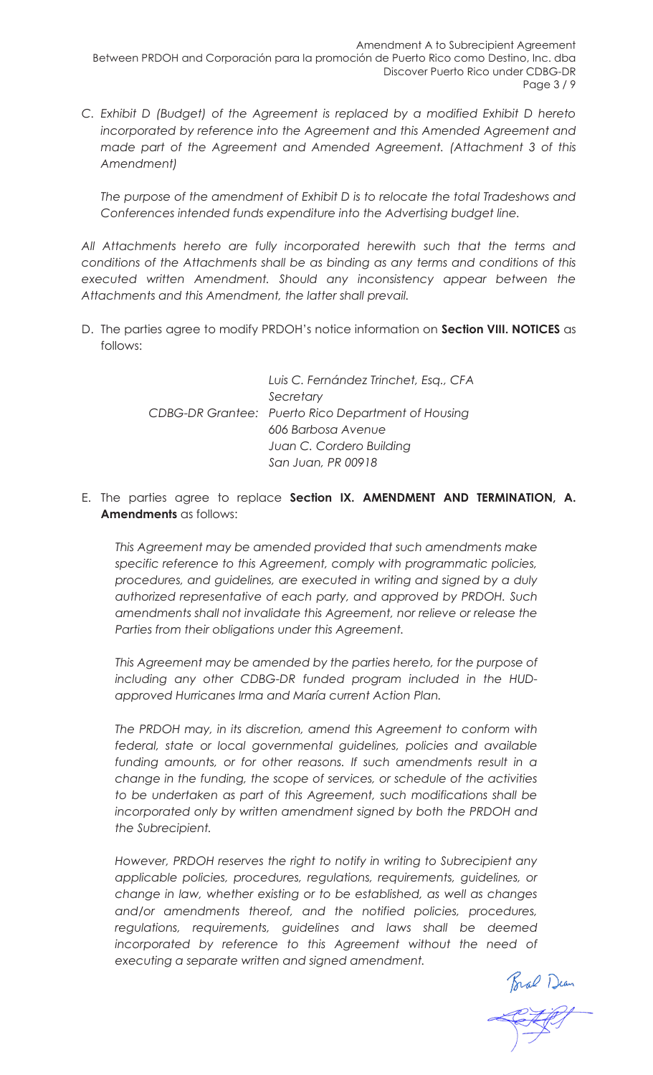*C. Exhibit D (Budget) of the Agreement is replaced by a modified Exhibit D hereto incorporated by reference into the Agreement and this Amended Agreement and made part of the Agreement and Amended Agreement. (Attachment 3 of this Amendment)*

*The purpose of the amendment of Exhibit D is to relocate the total Tradeshows and Conferences intended funds expenditure into the Advertising budget line.* 

*All Attachments hereto are fully incorporated herewith such that the terms and conditions of the Attachments shall be as binding as any terms and conditions of this executed written Amendment. Should any inconsistency appear between the Attachments and this Amendment, the latter shall prevail.*

D. The parties agree to modify PRDOH's notice information on **Section VIII. NOTICES** as follows:

> *Luis C. Fernández Trinchet, Esq., CFA Secretary CDBG-DR Grantee: Puerto Rico Department of Housing 606 Barbosa Avenue Juan C. Cordero Building San Juan, PR 00918*

E. The parties agree to replace **Section IX. AMENDMENT AND TERMINATION, A. Amendments** as follows:

*This Agreement may be amended provided that such amendments make specific reference to this Agreement, comply with programmatic policies, procedures, and guidelines, are executed in writing and signed by a duly authorized representative of each party, and approved by PRDOH. Such amendments shall not invalidate this Agreement, nor relieve or release the Parties from their obligations under this Agreement.* 

*This Agreement may be amended by the parties hereto, for the purpose of including any other CDBG-DR funded program included in the HUDapproved Hurricanes Irma and María current Action Plan.* 

*The PRDOH may, in its discretion, amend this Agreement to conform with federal, state or local governmental guidelines, policies and available funding amounts, or for other reasons. If such amendments result in a change in the funding, the scope of services, or schedule of the activities to be undertaken as part of this Agreement, such modifications shall be incorporated only by written amendment signed by both the PRDOH and the Subrecipient.* 

*However, PRDOH reserves the right to notify in writing to Subrecipient any applicable policies, procedures, regulations, requirements, guidelines, or change in law, whether existing or to be established, as well as changes and/or amendments thereof, and the notified policies, procedures, regulations, requirements, guidelines and laws shall be deemed incorporated by reference to this Agreement without the need of executing a separate written and signed amendment.* 

Bral Dean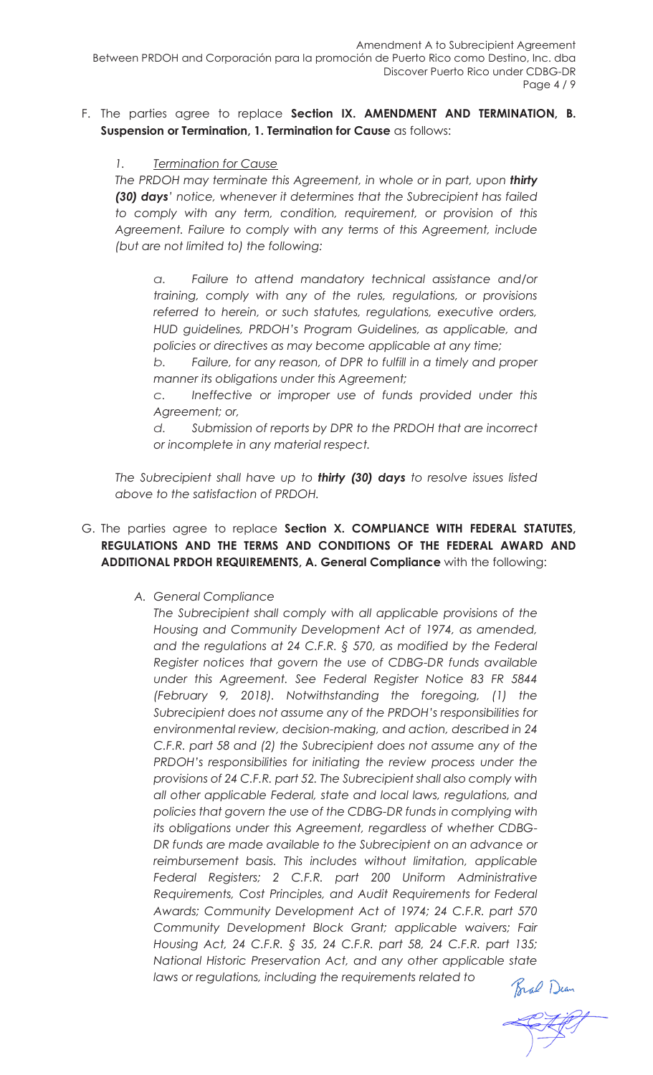#### F. The parties agree to replace **Section IX. AMENDMENT AND TERMINATION, B. Suspension or Termination, 1. Termination for Cause** as follows:

#### *1. Termination for Cause*

*The PRDOH may terminate this Agreement, in whole or in part, upon thirty (30) days' notice, whenever it determines that the Subrecipient has failed to comply with any term, condition, requirement, or provision of this Agreement. Failure to comply with any terms of this Agreement, include (but are not limited to) the following:*

*a. Failure to attend mandatory technical assistance and/or training, comply with any of the rules, regulations, or provisions referred to herein, or such statutes, regulations, executive orders, HUD guidelines, PRDOH's Program Guidelines, as applicable, and policies or directives as may become applicable at any time;*

*b. Failure, for any reason, of DPR to fulfill in a timely and proper manner its obligations under this Agreement;*

*c. Ineffective or improper use of funds provided under this Agreement; or,*

*d. Submission of reports by DPR to the PRDOH that are incorrect or incomplete in any material respect.*

*The Subrecipient shall have up to thirty (30) days to resolve issues listed above to the satisfaction of PRDOH.*

#### G. The parties agree to replace **Section X. COMPLIANCE WITH FEDERAL STATUTES, REGULATIONS AND THE TERMS AND CONDITIONS OF THE FEDERAL AWARD AND ADDITIONAL PRDOH REQUIREMENTS, A. General Compliance** with the following:

#### *A. General Compliance*

*The Subrecipient shall comply with all applicable provisions of the Housing and Community Development Act of 1974, as amended, and the regulations at 24 C.F.R. § 570, as modified by the Federal Register notices that govern the use of CDBG-DR funds available under this Agreement. See Federal Register Notice 83 FR 5844 (February 9, 2018). Notwithstanding the foregoing, (1) the Subrecipient does not assume any of the PRDOH's responsibilities for environmental review, decision-making, and action, described in 24 C.F.R. part 58 and (2) the Subrecipient does not assume any of the PRDOH's responsibilities for initiating the review process under the provisions of 24 C.F.R. part 52. The Subrecipient shall also comply with all other applicable Federal, state and local laws, regulations, and policies that govern the use of the CDBG-DR funds in complying with its obligations under this Agreement, regardless of whether CDBG-DR funds are made available to the Subrecipient on an advance or reimbursement basis. This includes without limitation, applicable Federal Registers; 2 C.F.R. part 200 Uniform Administrative Requirements, Cost Principles, and Audit Requirements for Federal Awards; Community Development Act of 1974; 24 C.F.R. part 570 Community Development Block Grant; applicable waivers; Fair Housing Act, 24 C.F.R. § 35, 24 C.F.R. part 58, 24 C.F.R. part 135;*<br> *National Historic Preservation Act, and any other applicable state*<br> *Iaws or regulations, including the requirements related to*<br> *Final* Duan *National Historic Preservation Act, and any other applicable state laws or regulations, including the requirements related to*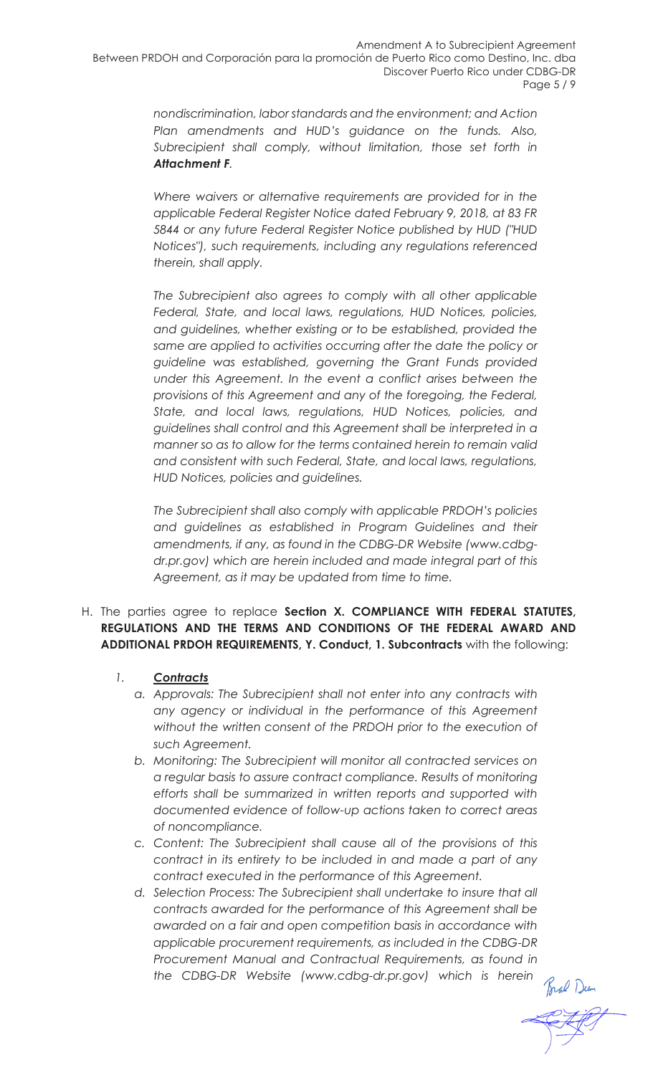*nondiscrimination, labor standards and the environment; and Action Plan amendments and HUD's guidance on the funds. Also,*  Subrecipient shall comply, without limitation, those set forth in *Attachment F.* 

*Where waivers or alternative requirements are provided for in the applicable Federal Register Notice dated February 9, 2018, at 83 FR 5844 or any future Federal Register Notice published by HUD ("HUD Notices"), such requirements, including any regulations referenced therein, shall apply.*

*The Subrecipient also agrees to comply with all other applicable Federal, State, and local laws, regulations, HUD Notices, policies, and guidelines, whether existing or to be established, provided the same are applied to activities occurring after the date the policy or guideline was established, governing the Grant Funds provided under this Agreement. In the event a conflict arises between the provisions of this Agreement and any of the foregoing, the Federal, State, and local laws, regulations, HUD Notices, policies, and guidelines shall control and this Agreement shall be interpreted in a manner so as to allow for the terms contained herein to remain valid and consistent with such Federal, State, and local laws, regulations, HUD Notices, policies and guidelines.*

*The Subrecipient shall also comply with applicable PRDOH's policies and guidelines as established in Program Guidelines and their amendments, if any, as found in the CDBG-DR Website (www.cdbgdr.pr.gov) which are herein included and made integral part of this Agreement, as it may be updated from time to time.*

#### H. The parties agree to replace **Section X. COMPLIANCE WITH FEDERAL STATUTES, REGULATIONS AND THE TERMS AND CONDITIONS OF THE FEDERAL AWARD AND ADDITIONAL PRDOH REQUIREMENTS, Y. Conduct, 1. Subcontracts** with the following:

- *1. Contracts*
	- *a. Approvals: The Subrecipient shall not enter into any contracts with any agency or individual in the performance of this Agreement without the written consent of the PRDOH prior to the execution of such Agreement.*
	- *b. Monitoring: The Subrecipient will monitor all contracted services on a regular basis to assure contract compliance. Results of monitoring efforts shall be summarized in written reports and supported with documented evidence of follow-up actions taken to correct areas of noncompliance.*
	- *c. Content: The Subrecipient shall cause all of the provisions of this contract in its entirety to be included in and made a part of any contract executed in the performance of this Agreement.*
	- *d. Selection Process: The Subrecipient shall undertake to insure that all contracts awarded for the performance of this Agreement shall be awarded on a fair and open competition basis in accordance with applicable procurement requirements, as included in the CDBG-DR Procurement Manual and Contractual Requirements, as found in the CDBG-DR Website (www.cdbg-dr.pr.gov) which is herein*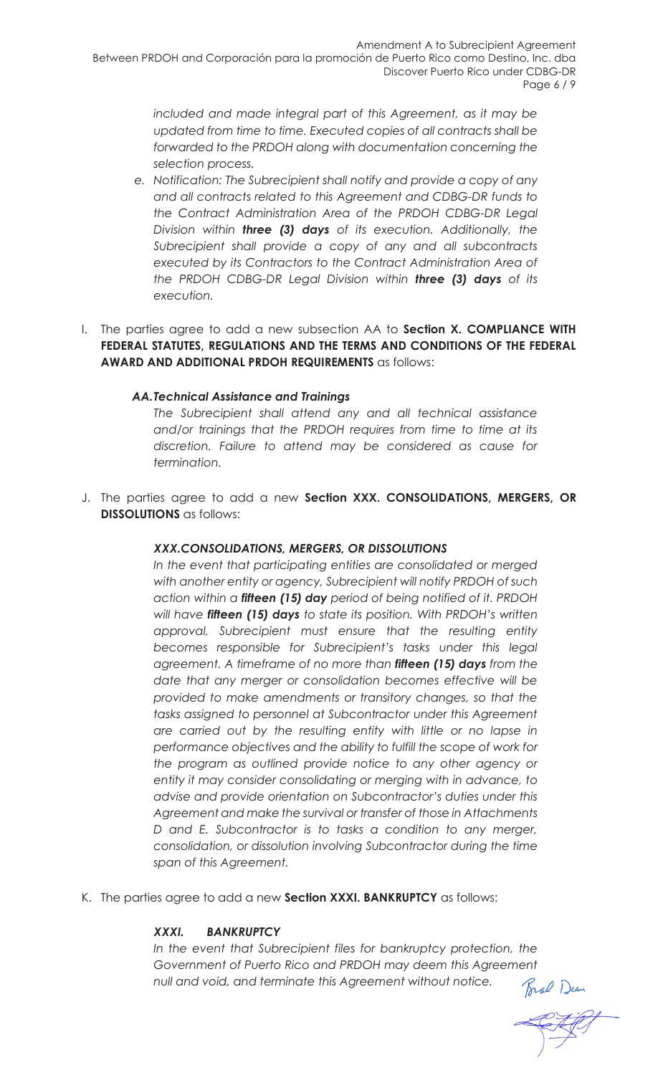*included and made integral part of this Agreement, as it may be updated from time to time. Executed copies of all contracts shall be forwarded to the PRDOH along with documentation concerning the selection process.*

- *e. Notification: The Subrecipient shall notify and provide a copy of any and all contracts related to this Agreement and CDBG-DR funds to the Contract Administration Area of the PRDOH CDBG-DR Legal Division within three (3) days of its execution. Additionally, the Subrecipient shall provide a copy of any and all subcontracts executed by its Contractors to the Contract Administration Area of the PRDOH CDBG-DR Legal Division within three (3) days of its execution.*
- I. The parties agree to add a new subsection AA to **Section X. COMPLIANCE WITH FEDERAL STATUTES, REGULATIONS AND THE TERMS AND CONDITIONS OF THE FEDERAL AWARD AND ADDITIONAL PRDOH REQUIREMENTS** as follows:

#### *AA.Technical Assistance and Trainings*

*The Subrecipient shall attend any and all technical assistance and/or trainings that the PRDOH requires from time to time at its discretion. Failure to attend may be considered as cause for termination.* 

J. The parties agree to add a new **Section XXX. CONSOLIDATIONS, MERGERS, OR DISSOLUTIONS** as follows:

#### *XXX.CONSOLIDATIONS, MERGERS, OR DISSOLUTIONS*

*In the event that participating entities are consolidated or merged with another entity or agency, Subrecipient will notify PRDOH of such action within a fifteen (15) day period of being notified of it. PRDOH will have fifteen (15) days to state its position. With PRDOH's written approval, Subrecipient must ensure that the resulting entity becomes responsible for Subrecipient's tasks under this legal agreement. A timeframe of no more than fifteen (15) days from the date that any merger or consolidation becomes effective will be provided to make amendments or transitory changes, so that the tasks assigned to personnel at Subcontractor under this Agreement are carried out by the resulting entity with little or no lapse in performance objectives and the ability to fulfill the scope of work for the program as outlined provide notice to any other agency or entity it may consider consolidating or merging with in advance, to advise and provide orientation on Subcontractor's duties under this Agreement and make the survival or transfer of those in Attachments D and E. Subcontractor is to tasks a condition to any merger, consolidation, or dissolution involving Subcontractor during the time span of this Agreement.*

K. The parties agree to add a new **Section XXXI. BANKRUPTCY** as follows:

#### *XXXI. BANKRUPTCY*

*In the event that Subrecipient files for bankruptcy protection, the Government of Puerto Rico and PRDOH may deem this Agreement*<br> *null and void, and terminate this Agreement without notice.*<br> *Fral* Dem *null and void, and terminate this Agreement without notice.*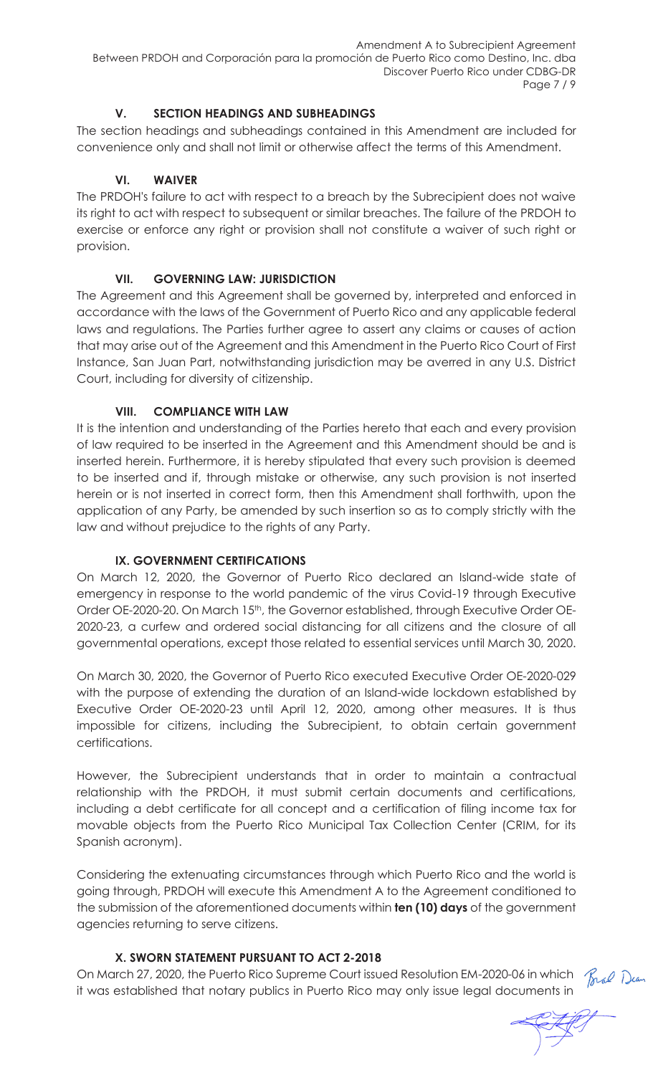#### **V. SECTION HEADINGS AND SUBHEADINGS**

The section headings and subheadings contained in this Amendment are included for convenience only and shall not limit or otherwise affect the terms of this Amendment.

#### **VI. WAIVER**

The PRDOH's failure to act with respect to a breach by the Subrecipient does not waive its right to act with respect to subsequent or similar breaches. The failure of the PRDOH to exercise or enforce any right or provision shall not constitute a waiver of such right or provision.

#### **VII. GOVERNING LAW: JURISDICTION**

The Agreement and this Agreement shall be governed by, interpreted and enforced in accordance with the laws of the Government of Puerto Rico and any applicable federal laws and regulations. The Parties further agree to assert any claims or causes of action that may arise out of the Agreement and this Amendment in the Puerto Rico Court of First Instance, San Juan Part, notwithstanding jurisdiction may be averred in any U.S. District Court, including for diversity of citizenship.

#### **VIII. COMPLIANCE WITH LAW**

It is the intention and understanding of the Parties hereto that each and every provision of law required to be inserted in the Agreement and this Amendment should be and is inserted herein. Furthermore, it is hereby stipulated that every such provision is deemed to be inserted and if, through mistake or otherwise, any such provision is not inserted herein or is not inserted in correct form, then this Amendment shall forthwith, upon the application of any Party, be amended by such insertion so as to comply strictly with the law and without prejudice to the rights of any Party.

#### **IX. GOVERNMENT CERTIFICATIONS**

On March 12, 2020, the Governor of Puerto Rico declared an Island-wide state of emergency in response to the world pandemic of the virus Covid-19 through Executive Order OE-2020-20. On March 15th, the Governor established, through Executive Order OE-2020-23, a curfew and ordered social distancing for all citizens and the closure of all governmental operations, except those related to essential services until March 30, 2020.

On March 30, 2020, the Governor of Puerto Rico executed Executive Order OE-2020-029 with the purpose of extending the duration of an Island-wide lockdown established by Executive Order OE-2020-23 until April 12, 2020, among other measures. It is thus impossible for citizens, including the Subrecipient, to obtain certain government certifications.

However, the Subrecipient understands that in order to maintain a contractual relationship with the PRDOH, it must submit certain documents and certifications, including a debt certificate for all concept and a certification of filing income tax for movable objects from the Puerto Rico Municipal Tax Collection Center (CRIM, for its Spanish acronym).

Considering the extenuating circumstances through which Puerto Rico and the world is going through, PRDOH will execute this Amendment A to the Agreement conditioned to the submission of the aforementioned documents within **ten (10) days** of the government agencies returning to serve citizens.

#### **X. SWORN STATEMENT PURSUANT TO ACT 2-2018**

On March 27, 2020, the Puerto Rico Supreme Court issued Resolution EM-2020-06 in which  $\mathcal{R}_{\text{rad}}$  Dean it was established that notary publics in Puerto Rico may only issue legal documents in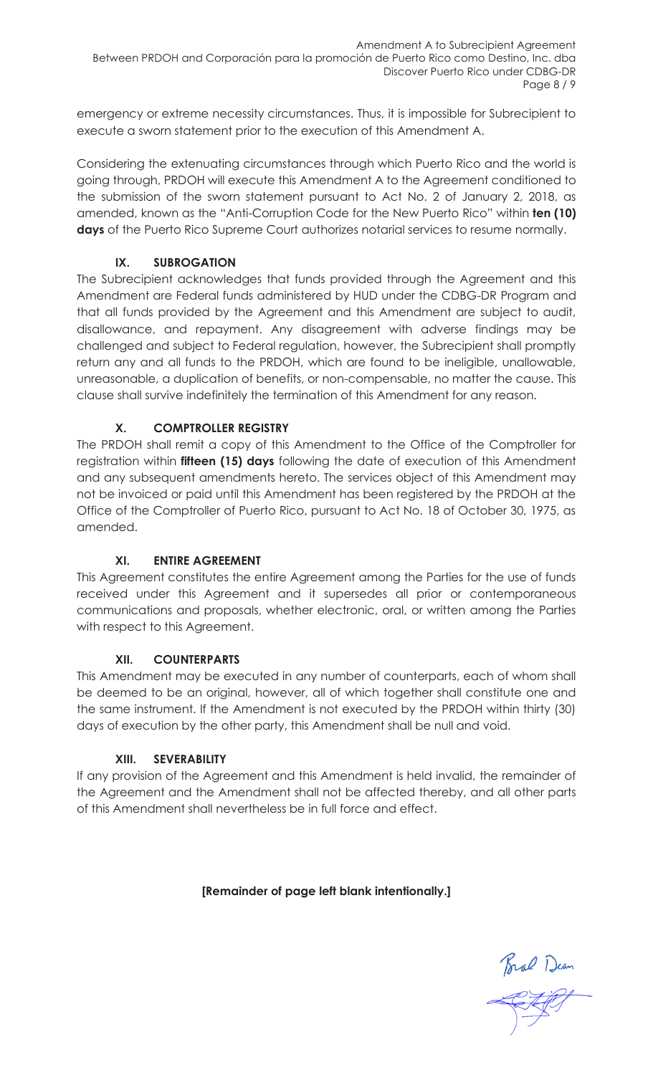emergency or extreme necessity circumstances. Thus, it is impossible for Subrecipient to execute a sworn statement prior to the execution of this Amendment A.

Considering the extenuating circumstances through which Puerto Rico and the world is going through, PRDOH will execute this Amendment A to the Agreement conditioned to the submission of the sworn statement pursuant to Act No. 2 of January 2, 2018, as amended, known as the "Anti-Corruption Code for the New Puerto Rico" within **ten (10) days** of the Puerto Rico Supreme Court authorizes notarial services to resume normally.

#### **IX. SUBROGATION**

The Subrecipient acknowledges that funds provided through the Agreement and this Amendment are Federal funds administered by HUD under the CDBG-DR Program and that all funds provided by the Agreement and this Amendment are subject to audit, disallowance, and repayment. Any disagreement with adverse findings may be challenged and subject to Federal regulation, however, the Subrecipient shall promptly return any and all funds to the PRDOH, which are found to be ineligible, unallowable, unreasonable, a duplication of benefits, or non-compensable, no matter the cause. This clause shall survive indefinitely the termination of this Amendment for any reason.

#### **X. COMPTROLLER REGISTRY**

The PRDOH shall remit a copy of this Amendment to the Office of the Comptroller for registration within **fifteen (15) days** following the date of execution of this Amendment and any subsequent amendments hereto. The services object of this Amendment may not be invoiced or paid until this Amendment has been registered by the PRDOH at the Office of the Comptroller of Puerto Rico, pursuant to Act No. 18 of October 30, 1975, as amended.

#### **XI. ENTIRE AGREEMENT**

This Agreement constitutes the entire Agreement among the Parties for the use of funds received under this Agreement and it supersedes all prior or contemporaneous communications and proposals, whether electronic, oral, or written among the Parties with respect to this Agreement.

#### **XII. COUNTERPARTS**

This Amendment may be executed in any number of counterparts, each of whom shall be deemed to be an original, however, all of which together shall constitute one and the same instrument. If the Amendment is not executed by the PRDOH within thirty (30) days of execution by the other party, this Amendment shall be null and void.

#### **XIII. SEVERABILITY**

If any provision of the Agreement and this Amendment is held invalid, the remainder of the Agreement and the Amendment shall not be affected thereby, and all other parts of this Amendment shall nevertheless be in full force and effect.

**[Remainder of page left blank intentionally.]**

Bral Dean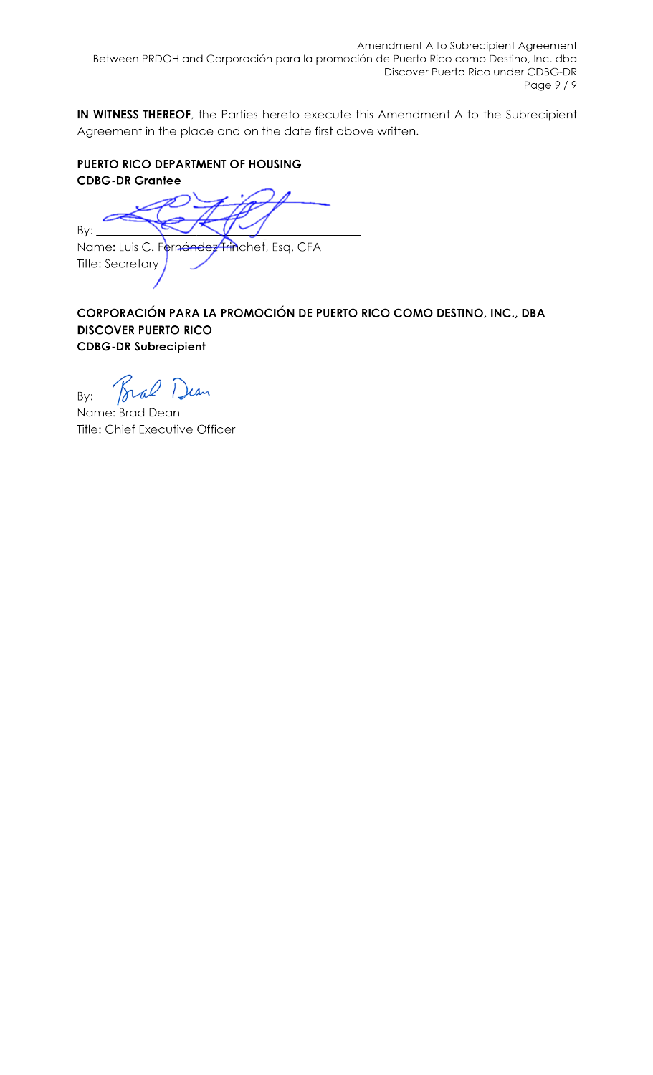IN WITNESS THEREOF, the Parties hereto execute this Amendment A to the Subrecipient Agreement in the place and on the date first above written.

#### PUERTO RICO DEPARTMENT OF HOUSING **CDBG-DR Grantee**

 $By:$ 

Name: Luis C. Fernández Trinchet, Esq, CFA **Title: Secretary** 

CORPORACIÓN PARA LA PROMOCIÓN DE PUERTO RICO COMO DESTINO, INC., DBA **DISCOVER PUERTO RICO CDBG-DR Subrecipient** 

Brad Dean By:

Name: Brad Dean Title: Chief Executive Officer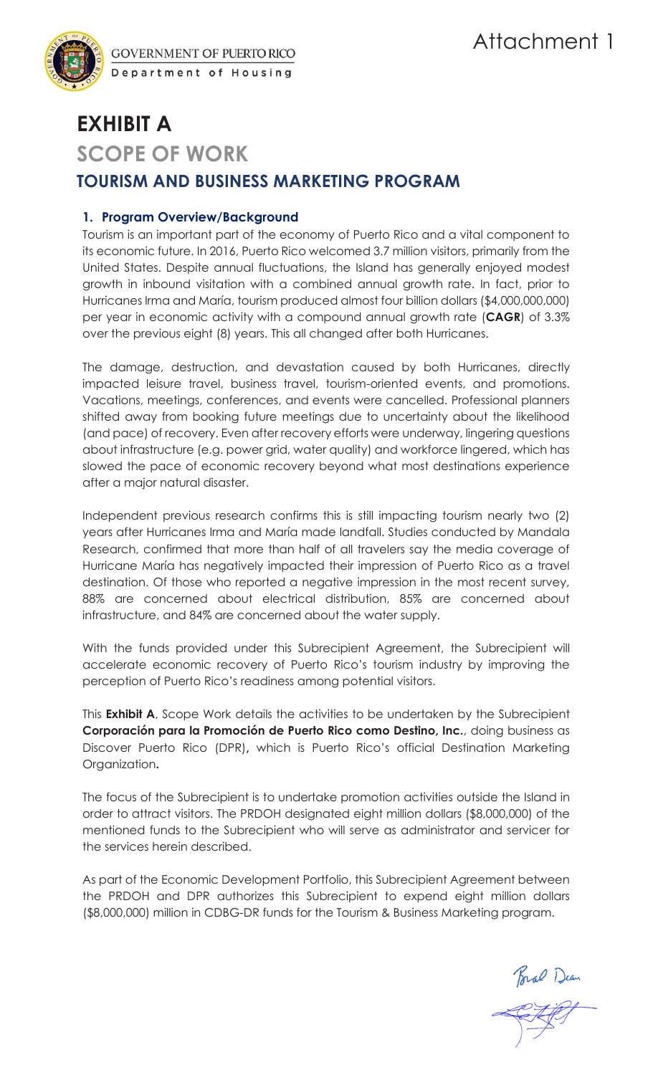

**GOVERNMENT OF PUERTO RICO** Department of Housing

# **EXHIBIT A SCOPE OF WORK TOURISM AND BUSINESS MARKETING PROGRAM**

#### **1. Program Overview/Background**

Tourism is an important part of the economy of Puerto Rico and a vital component to its economic future. In 2016, Puerto Rico welcomed 3.7 million visitors, primarily from the United States. Despite annual fluctuations, the Island has generally enjoyed modest growth in inbound visitation with a combined annual growth rate. In fact, prior to Hurricanes Irma and María, tourism produced almost four billion dollars (\$4,000,000,000) per year in economic activity with a compound annual growth rate (**CAGR**) of 3.3% over the previous eight (8) years. This all changed after both Hurricanes.

The damage, destruction, and devastation caused by both Hurricanes, directly impacted leisure travel, business travel, tourism-oriented events, and promotions. Vacations, meetings, conferences, and events were cancelled. Professional planners shifted away from booking future meetings due to uncertainty about the likelihood (and pace) of recovery. Even after recovery efforts were underway, lingering questions about infrastructure (e.g. power grid, water quality) and workforce lingered, which has slowed the pace of economic recovery beyond what most destinations experience after a major natural disaster.

Independent previous research confirms this is still impacting tourism nearly two (2) years after Hurricanes Irma and María made landfall. Studies conducted by Mandala Research, confirmed that more than half of all travelers say the media coverage of Hurricane María has negatively impacted their impression of Puerto Rico as a travel destination. Of those who reported a negative impression in the most recent survey, 88% are concerned about electrical distribution, 85% are concerned about infrastructure, and 84% are concerned about the water supply.

With the funds provided under this Subrecipient Agreement, the Subrecipient will accelerate economic recovery of Puerto Rico's tourism industry by improving the perception of Puerto Rico's readiness among potential visitors.

This **Exhibit A**, Scope Work details the activities to be undertaken by the Subrecipient **Corporación para la Promoción de Puerto Rico como Destino, Inc.**, doing business as Discover Puerto Rico (DPR)**,** which is Puerto Rico's official Destination Marketing Organization**.**

The focus of the Subrecipient is to undertake promotion activities outside the Island in order to attract visitors. The PRDOH designated eight million dollars (\$8,000,000) of the mentioned funds to the Subrecipient who will serve as administrator and servicer for the services herein described.

As part of the Economic Development Portfolio, this Subrecipient Agreement between the PRDOH and DPR authorizes this Subrecipient to expend eight million dollars (\$8,000,000) million in CDBG-DR funds for the Tourism & Business Marketing program.

Bral Dean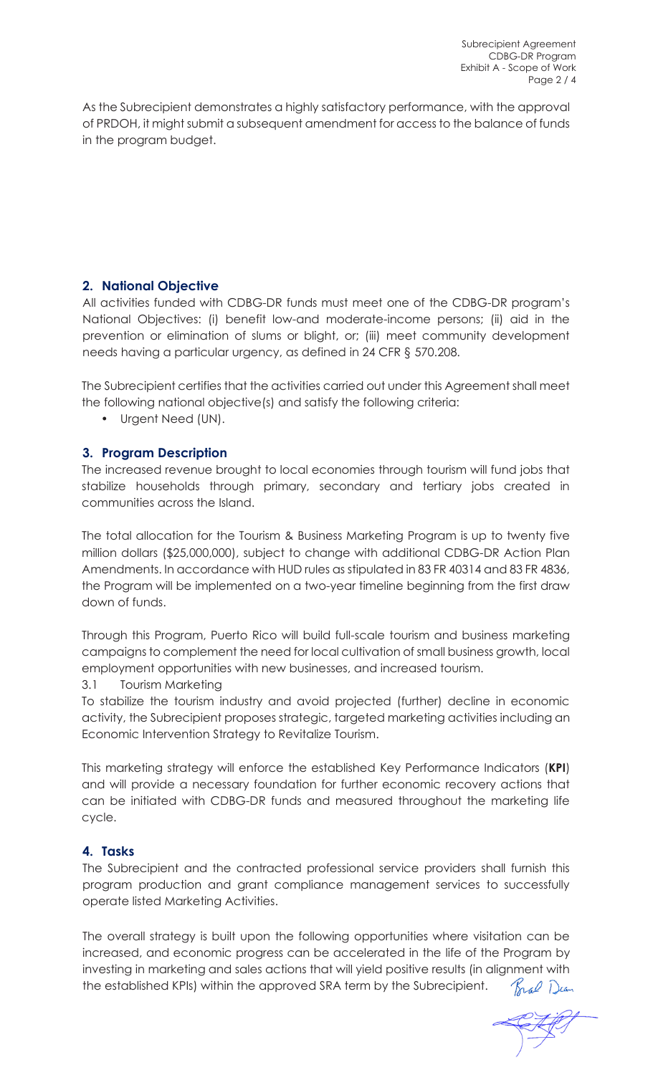As the Subrecipient demonstrates a highly satisfactory performance, with the approval of PRDOH, it might submit a subsequent amendment for access to the balance of funds in the program budget.

#### **2. National Objective**

All activities funded with CDBG-DR funds must meet one of the CDBG-DR program's National Objectives: (i) benefit low-and moderate-income persons; (ii) aid in the prevention or elimination of slums or blight, or; (iii) meet community development needs having a particular urgency, as defined in 24 CFR § 570.208.

The Subrecipient certifies that the activities carried out under this Agreement shall meet the following national objective(s) and satisfy the following criteria:

• Urgent Need (UN).

#### **3. Program Description**

The increased revenue brought to local economies through tourism will fund jobs that stabilize households through primary, secondary and tertiary jobs created in communities across the Island.

The total allocation for the Tourism & Business Marketing Program is up to twenty five million dollars (\$25,000,000), subject to change with additional CDBG-DR Action Plan Amendments. In accordance with HUD rules as stipulated in 83 FR 40314 and 83 FR 4836, the Program will be implemented on a two-year timeline beginning from the first draw down of funds.

Through this Program, Puerto Rico will build full-scale tourism and business marketing campaigns to complement the need for local cultivation of small business growth, local employment opportunities with new businesses, and increased tourism.

#### 3.1 Tourism Marketing

To stabilize the tourism industry and avoid projected (further) decline in economic activity, the Subrecipient proposes strategic, targeted marketing activities including an Economic Intervention Strategy to Revitalize Tourism.

This marketing strategy will enforce the established Key Performance Indicators (**KPI**) and will provide a necessary foundation for further economic recovery actions that can be initiated with CDBG-DR funds and measured throughout the marketing life cycle.

#### **4. Tasks**

The Subrecipient and the contracted professional service providers shall furnish this program production and grant compliance management services to successfully operate listed Marketing Activities.

The overall strategy is built upon the following opportunities where visitation can be increased, and economic progress can be accelerated in the life of the Program by investing in marketing and sales actions that will yield positive results (in alignment with the established KPIs) within the approved SRA term by the Subrecipient. Bral Dean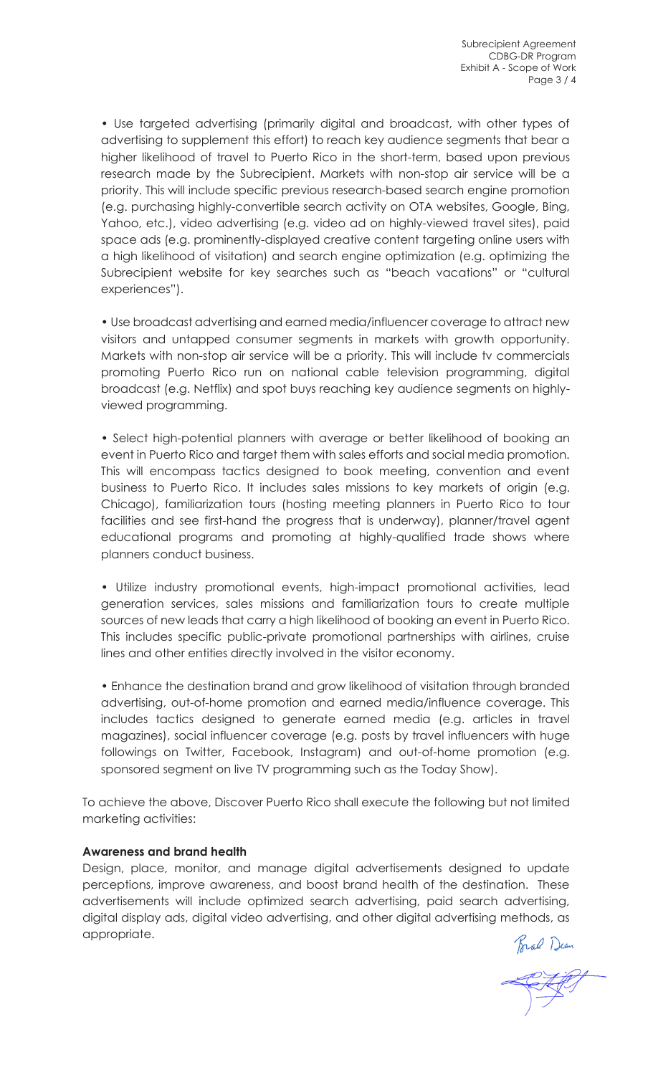• Use targeted advertising (primarily digital and broadcast, with other types of advertising to supplement this effort) to reach key audience segments that bear a higher likelihood of travel to Puerto Rico in the short-term, based upon previous research made by the Subrecipient. Markets with non-stop air service will be a priority. This will include specific previous research-based search engine promotion (e.g. purchasing highly-convertible search activity on OTA websites, Google, Bing, Yahoo, etc.), video advertising (e.g. video ad on highly-viewed travel sites), paid space ads (e.g. prominently-displayed creative content targeting online users with a high likelihood of visitation) and search engine optimization (e.g. optimizing the Subrecipient website for key searches such as "beach vacations" or "cultural experiences").

• Use broadcast advertising and earned media/influencer coverage to attract new visitors and untapped consumer segments in markets with growth opportunity. Markets with non-stop air service will be a priority. This will include tv commercials promoting Puerto Rico run on national cable television programming, digital broadcast (e.g. Netflix) and spot buys reaching key audience segments on highlyviewed programming.

• Select high-potential planners with average or better likelihood of booking an event in Puerto Rico and target them with sales efforts and social media promotion. This will encompass tactics designed to book meeting, convention and event business to Puerto Rico. It includes sales missions to key markets of origin (e.g. Chicago), familiarization tours (hosting meeting planners in Puerto Rico to tour facilities and see first-hand the progress that is underway), planner/travel agent educational programs and promoting at highly-qualified trade shows where planners conduct business.

• Utilize industry promotional events, high-impact promotional activities, lead generation services, sales missions and familiarization tours to create multiple sources of new leads that carry a high likelihood of booking an event in Puerto Rico. This includes specific public-private promotional partnerships with airlines, cruise lines and other entities directly involved in the visitor economy.

• Enhance the destination brand and grow likelihood of visitation through branded advertising, out-of-home promotion and earned media/influence coverage. This includes tactics designed to generate earned media (e.g. articles in travel magazines), social influencer coverage (e.g. posts by travel influencers with huge followings on Twitter, Facebook, Instagram) and out-of-home promotion (e.g. sponsored segment on live TV programming such as the Today Show).

To achieve the above, Discover Puerto Rico shall execute the following but not limited marketing activities:

#### **Awareness and brand health**

Design, place, monitor, and manage digital advertisements designed to update perceptions, improve awareness, and boost brand health of the destination. These advertisements will include optimized search advertising, paid search advertising, digital display ads, digital video advertising, and other digital advertising methods, as appropriate.

Bral Dean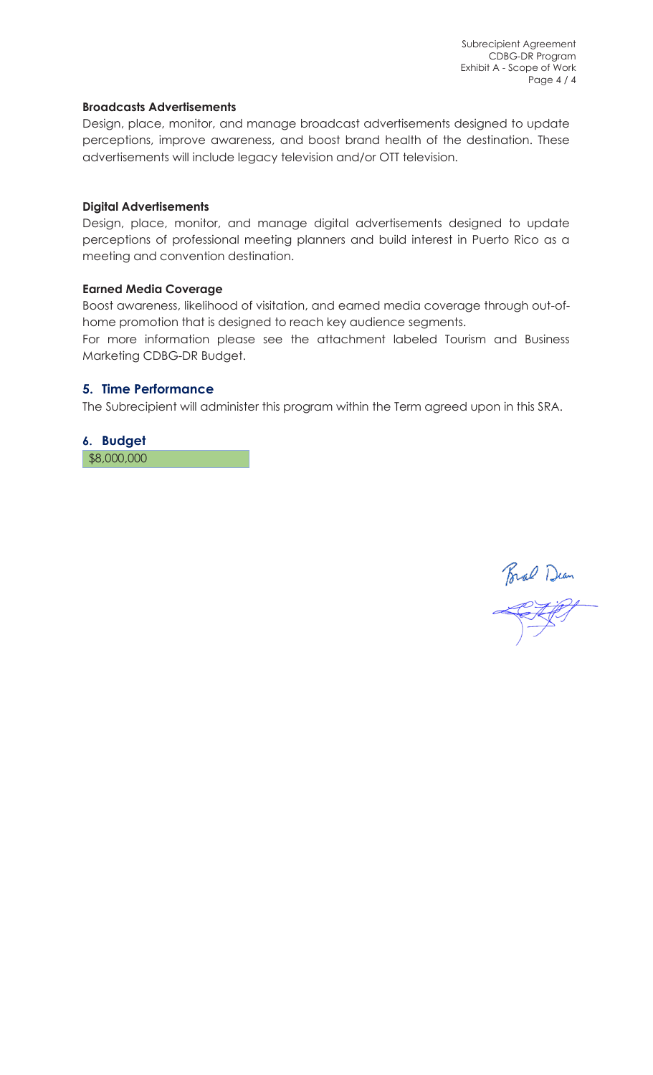Subrecipient Agreement CDBG-DR Program Exhibit A - Scope of Work Page 4 / 4

#### **Broadcasts Advertisements**

Design, place, monitor, and manage broadcast advertisements designed to update perceptions, improve awareness, and boost brand health of the destination. These advertisements will include legacy television and/or OTT television.

#### **Digital Advertisements**

Design, place, monitor, and manage digital advertisements designed to update perceptions of professional meeting planners and build interest in Puerto Rico as a meeting and convention destination.

#### **Earned Media Coverage**

Boost awareness, likelihood of visitation, and earned media coverage through out-ofhome promotion that is designed to reach key audience segments.

For more information please see the attachment labeled Tourism and Business Marketing CDBG-DR Budget.

#### **5. Time Performance**

The Subrecipient will administer this program within the Term agreed upon in this SRA.

#### **6. Budget**

\$8,000,000

Brad Dean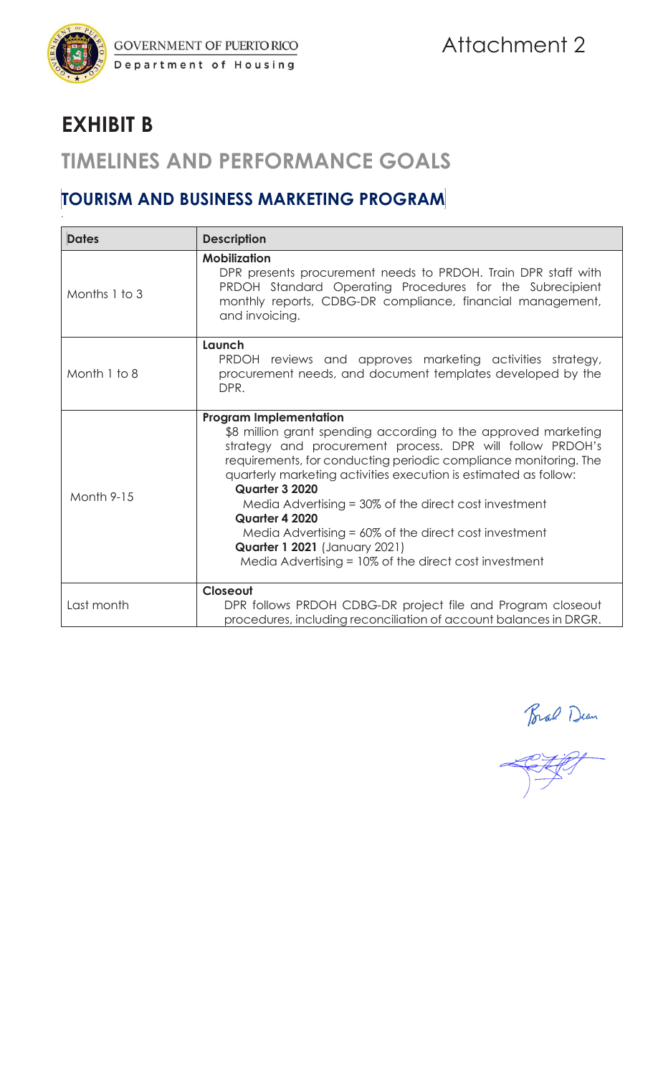

# **EXHIBIT B**

*.*

## **TIMELINES AND PERFORMANCE GOALS**

## **TOURISM AND BUSINESS MARKETING PROGRAM**

| <b>Dates</b>      | <b>Description</b>                                                                                                                                                                                                                                                                                                                                                                                                                                                                                                                                               |
|-------------------|------------------------------------------------------------------------------------------------------------------------------------------------------------------------------------------------------------------------------------------------------------------------------------------------------------------------------------------------------------------------------------------------------------------------------------------------------------------------------------------------------------------------------------------------------------------|
| Months 1 to 3     | <b>Mobilization</b><br>DPR presents procurement needs to PRDOH. Train DPR staff with<br>PRDOH Standard Operating Procedures for the Subrecipient<br>monthly reports, CDBG-DR compliance, financial management,<br>and invoicing.                                                                                                                                                                                                                                                                                                                                 |
| Month 1 to 8      | Launch<br>PRDOH reviews and approves marketing activities strategy,<br>procurement needs, and document templates developed by the<br>DPR.                                                                                                                                                                                                                                                                                                                                                                                                                        |
| <b>Month 9-15</b> | <b>Program Implementation</b><br>\$8 million grant spending according to the approved marketing<br>strategy and procurement process. DPR will follow PRDOH's<br>requirements, for conducting periodic compliance monitoring. The<br>quarterly marketing activities execution is estimated as follow:<br>Quarter 3 2020<br>Media Advertising $=$ 30% of the direct cost investment<br>Quarter 4 2020<br>Media Advertising $= 60\%$ of the direct cost investment<br><b>Quarter 1 2021</b> (January 2021)<br>Media Advertising = 10% of the direct cost investment |
| Last month        | Closeout<br>DPR follows PRDOH CDBG-DR project file and Program closeout<br>procedures, including reconciliation of account balances in DRGR.                                                                                                                                                                                                                                                                                                                                                                                                                     |

Brad Dum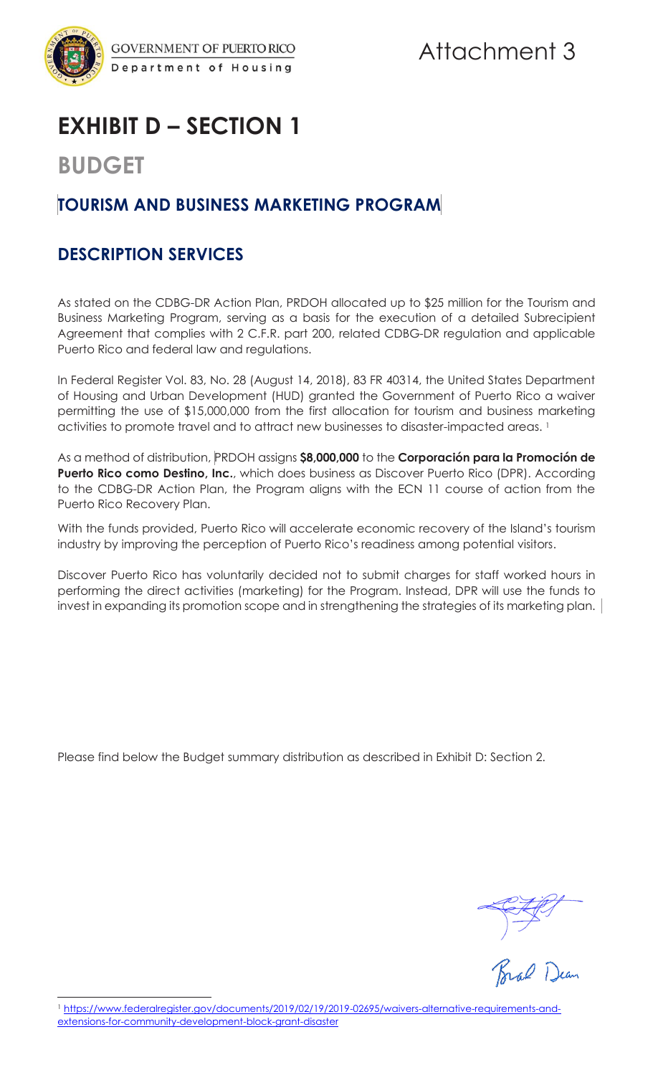

# Attachment 3

# **EXHIBIT D – SECTION 1**

## **BUDGET**

## **TOURISM AND BUSINESS MARKETING PROGRAM**

### **DESCRIPTION SERVICES**

As stated on the CDBG-DR Action Plan, PRDOH allocated up to \$25 million for the Tourism and Business Marketing Program, serving as a basis for the execution of a detailed Subrecipient Agreement that complies with 2 C.F.R. part 200, related CDBG-DR regulation and applicable Puerto Rico and federal law and regulations.

In Federal Register Vol. 83, No. 28 (August 14, 2018), 83 FR 40314, the United States Department of Housing and Urban Development (HUD) granted the Government of Puerto Rico a waiver permitting the use of \$15,000,000 from the first allocation for tourism and business marketing activities to promote travel and to attract new businesses to disaster-impacted areas. <sup>1</sup>

As a method of distribution, PRDOH assigns **\$8,000,000** to the **Corporación para la Promoción de Puerto Rico como Destino, Inc.**, which does business as Discover Puerto Rico (DPR). According to the CDBG-DR Action Plan, the Program aligns with the ECN 11 course of action from the Puerto Rico Recovery Plan.

With the funds provided, Puerto Rico will accelerate economic recovery of the Island's tourism industry by improving the perception of Puerto Rico's readiness among potential visitors.

Discover Puerto Rico has voluntarily decided not to submit charges for staff worked hours in performing the direct activities (marketing) for the Program. Instead, DPR will use the funds to invest in expanding its promotion scope and in strengthening the strategies of its marketing plan. |

Please find below the Budget summary distribution as described in Exhibit D: Section 2.

Brad Dean

<sup>&</sup>lt;sup>1</sup> https://www.federalregister.gov/documents/2019/02/19/2019-02695/waivers-alternative-requirements-andextensions-for-community-development-block-grant-disaster